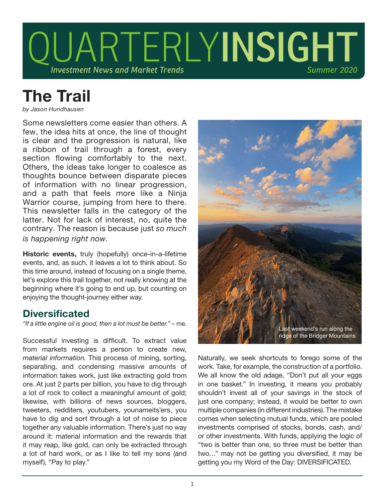

# The Trail

*by Jason Hundhausen*

Some newsletters come easier than others. A few, the idea hits at once, the line of thought is clear and the progression is natural, like a ribbon of trail through a forest, every section flowing comfortably to the next. Others, the ideas take longer to coalesce as thoughts bounce between disparate pieces of information with no linear progression, and a path that feels more like a Ninja Warrior course, jumping from here to there. This newsletter falls in the category of the latter. Not for lack of interest, no, quite the contrary. The reason is because just *so much is happening right now.* 

Historic events, truly (hopefully) once-in-a-lifetime events, and, as such, it leaves a lot to think about. So this time around, instead of focusing on a single theme, let's explore this trail together, not really knowing at the beginning where it's going to end up, but counting on enjoying the thought-journey either way.

## **Diversificated**

*"If a little engine oil is good, then a lot must be better."* – me.

Successful investing is difficult. To extract value from markets requires a person to create new, *material information*. This process of mining, sorting, separating, and condensing massive amounts of information takes work, just like extracting gold from ore. At just 2 parts per billion, you have to dig through a lot of rock to collect a meaningful amount of gold; likewise, with billions of news sources, bloggers, tweeters, redditers, youtubers, younameits'ers, you have to dig and sort through a lot of noise to piece together any valuable information. There's just no way around it: material information and the rewards that it may reap, like gold, can only be extracted through a lot of hard work, or as I like to tell my sons (and myself), "Pay to play."



Naturally, we seek shortcuts to forego some of the work. Take, for example, the construction of a portfolio. We all know the old adage, "Don't put all your eggs in one basket." In investing, it means you probably shouldn't invest all of your savings in the stock of just one company; instead, it would be better to own multiple companies (in different industries). The mistake comes when selecting mutual funds, which are pooled investments comprised of stocks, bonds, cash, and/ or other investments. With funds, applying the logic of "two is better than one, so three must be better than two…" may not be getting you diversified, it may be getting you my Word of the Day: DIVERSIFICATED.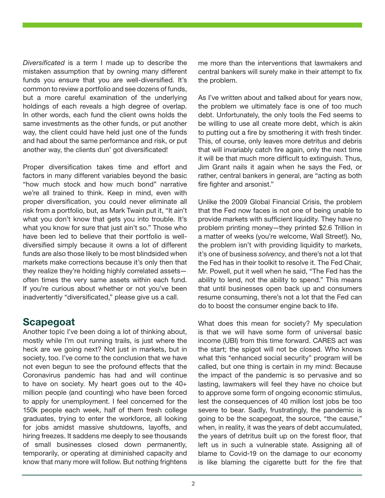*Diversificated* is a term I made up to describe the mistaken assumption that by owning many different funds you ensure that you are well-diversified. It's common to review a portfolio and see dozens of funds, but a more careful examination of the underlying holdings of each reveals a high degree of overlap. In other words, each fund the client owns holds the same investments as the other funds, or put another way, the client could have held just one of the funds and had about the same performance and risk, or put another way, the clients dun' got diversificated!

Proper diversification takes time and effort and factors in many different variables beyond the basic "how much stock and how much bond" narrative we're all trained to think. Keep in mind, even with proper diversification, you could never eliminate all risk from a portfolio, but, as Mark Twain put it, "It ain't what you don't know that gets you into trouble. It's what you know for sure that just ain't so." Those who have been led to believe that their portfolio is welldiversified simply because it owns a lot of different funds are also those likely to be most blindsided when markets make corrections because it's only then that they realize they're holding highly correlated assets often times the very same assets within each fund. If you're curious about whether or not you've been inadvertently "diversificated," please give us a call.

# **Scapegoat**

Another topic I've been doing a lot of thinking about, mostly while I'm out running trails, is just where the heck are we going next? Not just in markets, but in society, too. I've come to the conclusion that we have not even begun to see the profound effects that the Coronavirus pandemic has had and will continue to have on society. My heart goes out to the 40+ million people (and counting) who have been forced to apply for unemployment. I feel concerned for the 150k people each week, half of them fresh college graduates, trying to enter the workforce, all looking for jobs amidst massive shutdowns, layoffs, and hiring freezes. It saddens me deeply to see thousands of small businesses closed down permanently, temporarily, or operating at diminished capacity and know that many more will follow. But nothing frightens

me more than the interventions that lawmakers and central bankers will surely make in their attempt to fix the problem.

As I've written about and talked about for years now, the problem we ultimately face is one of too much debt. Unfortunately, the only tools the Fed seems to be willing to use all create more debt, which is akin to putting out a fire by smothering it with fresh tinder. This, of course, only leaves more detritus and debris that will invariably catch fire again, only the next time it will be that much more difficult to extinguish. Thus, Jim Grant nails it again when he says the Fed, or rather, central bankers in general, are "acting as both fire fighter and arsonist."

Unlike the 2009 Global Financial Crisis, the problem that the Fed now faces is not one of being unable to provide markets with sufficient liquidity. They have no problem printing money—they printed \$2.6 Trillion in a matter of weeks (you're welcome, Wall Street!). No, the problem isn't with providing liquidity to markets, it's one of business *solvency*, and there's not a lot that the Fed has in their toolkit to resolve it. The Fed Chair, Mr. Powell, put it well when he said, "The Fed has the ability to lend, not the ability to spend." This means that until businesses open back up and consumers resume consuming, there's not a lot that the Fed can do to boost the consumer engine back to life.

What does this mean for society? My speculation is that we will have some form of universal basic income (UBI) from this time forward. CARES act was the start; the spigot will not be closed. Who knows what this "enhanced social security" program will be called, but one thing is certain in my mind: Because the impact of the pandemic is so pervasive and so lasting, lawmakers will feel they have no choice but to approve some form of ongoing economic stimulus, lest the consequences of 40 million lost jobs be too severe to bear. Sadly, frustratingly, the pandemic is going to be the scapegoat, the source, "the cause," when, in reality, it was the years of debt accumulated, the years of detritus built up on the forest floor, that left us in such a vulnerable state. Assigning all of blame to Covid-19 on the damage to our economy is like blaming the cigarette butt for the fire that